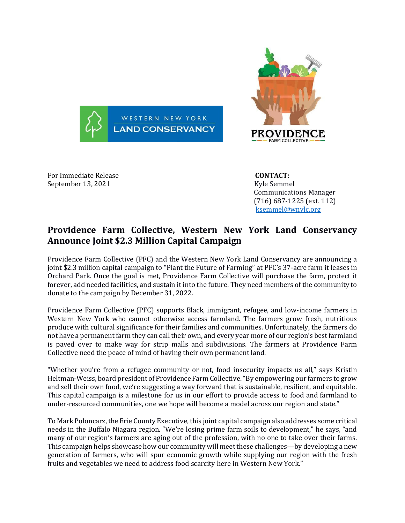



For Immediate Release **CONTACT:**  September 13, 2021 and the separate separate separate separate separate separate separate separate separate se

 Communications Manager (716) 687-1225 (ext. 112) [ksemmel@wnylc.org](mailto:ksemmel@wnylc.org)

## **Providence Farm Collective, Western New York Land Conservancy Announce Joint \$2.3 Million Capital Campaign**

Providence Farm Collective (PFC) and the Western New York Land Conservancy are announcing a joint \$2.3 million capital campaign to "Plant the Future of Farming" at PFC's 37-acre farm it leases in Orchard Park. Once the goal is met, Providence Farm Collective will purchase the farm, protect it forever, add needed facilities, and sustain it into the future. They need members of the community to donate to the campaign by December 31, 2022.

Providence Farm Collective (PFC) supports Black, immigrant, refugee, and low-income farmers in Western New York who cannot otherwise access farmland. The farmers grow fresh, nutritious produce with cultural significance for their families and communities. Unfortunately, the farmers do not have a permanent farm they can call their own, and every year more of our region's best farmland is paved over to make way for strip malls and subdivisions. The farmers at Providence Farm Collective need the peace of mind of having their own permanent land.

"Whether you're from a refugee community or not, food insecurity impacts us all," says Kristin Heltman-Weiss, board president of Providence Farm Collective. "By empowering our farmers to grow and sell their own food, we're suggesting a way forward that is sustainable, resilient, and equitable. This capital campaign is a milestone for us in our effort to provide access to food and farmland to under-resourced communities, one we hope will become a model across our region and state."

To Mark Poloncarz, the Erie County Executive, this joint capital campaign also addresses some critical needs in the Buffalo Niagara region. "We're losing prime farm soils to development," he says, "and many of our region's farmers are aging out of the profession, with no one to take over their farms. This campaign helps showcase how our community will meet these challenges—by developing a new generation of farmers, who will spur economic growth while supplying our region with the fresh fruits and vegetables we need to address food scarcity here in Western New York."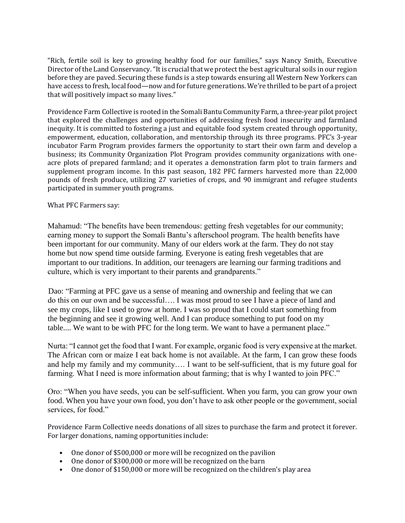"Rich, fertile soil is key to growing healthy food for our families," says Nancy Smith, Executive Director of the Land Conservancy. "It is crucial that we protect the best agricultural soils in our region before they are paved. Securing these funds is a step towards ensuring all Western New Yorkers can have access to fresh, local food—now and for future generations. We're thrilled to be part of a project that will positively impact so many lives."

Providence Farm Collective is rooted in the Somali Bantu Community Farm, a three-year pilot project that explored the challenges and opportunities of addressing fresh food insecurity and farmland inequity. It is committed to fostering a just and equitable food system created through opportunity, empowerment, education, collaboration, and mentorship through its three programs. PFC's 3-year incubator Farm Program provides farmers the opportunity to start their own farm and develop a business; its Community Organization Plot Program provides community organizations with oneacre plots of prepared farmland; and it operates a demonstration farm plot to train farmers and supplement program income. In this past season, 182 PFC farmers harvested more than 22,000 pounds of fresh produce, utilizing 27 varieties of crops, and 90 immigrant and refugee students participated in summer youth programs.

What PFC Farmers say:

Mahamud: "The benefits have been tremendous: getting fresh vegetables for our community; earning money to support the Somali Bantu's afterschool program. The health benefits have been important for our community. Many of our elders work at the farm. They do not stay home but now spend time outside farming. Everyone is eating fresh vegetables that are important to our traditions. In addition, our teenagers are learning our farming traditions and culture, which is very important to their parents and grandparents."

Dao: "Farming at PFC gave us a sense of meaning and ownership and feeling that we can do this on our own and be successful…. I was most proud to see I have a piece of land and see my crops, like I used to grow at home. I was so proud that I could start something from the beginning and see it growing well. And I can produce something to put food on my table.... We want to be with PFC for the long term. We want to have a permanent place."

Nurta: "I cannot get the food that I want. For example, organic food is very expensive at the market. The African corn or maize I eat back home is not available. At the farm, I can grow these foods and help my family and my community…. I want to be self-sufficient, that is my future goal for farming. What I need is more information about farming; that is why I wanted to join PFC."

Oro: "When you have seeds, you can be self-sufficient. When you farm, you can grow your own food. When you have your own food, you don't have to ask other people or the government, social services, for food."

Providence Farm Collective needs donations of all sizes to purchase the farm and protect it forever. For larger donations, naming opportunities include:

- One donor of \$500,000 or more will be recognized on the pavilion
- One donor of \$300,000 or more will be recognized on the barn
- One donor of \$150,000 or more will be recognized on the children's play area